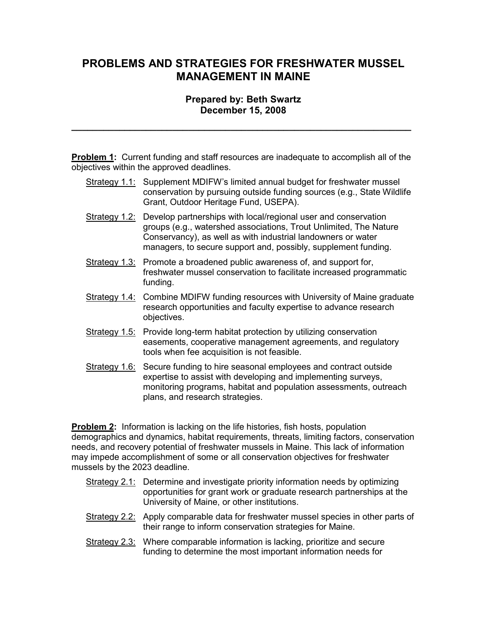## PROBLEMS AND STRATEGIES FOR FRESHWATER MUSSEL MANAGEMENT IN MAINE

## Prepared by: Beth Swartz December 15, 2008

\_\_\_\_\_\_\_\_\_\_\_\_\_\_\_\_\_\_\_\_\_\_\_\_\_\_\_\_\_\_\_\_\_\_\_\_\_\_\_\_\_\_\_\_\_\_\_\_\_\_\_\_\_\_\_\_\_\_\_\_\_\_\_\_

Problem 1: Current funding and staff resources are inadequate to accomplish all of the objectives within the approved deadlines.

- Strategy 1.1: Supplement MDIFW's limited annual budget for freshwater mussel conservation by pursuing outside funding sources (e.g., State Wildlife Grant, Outdoor Heritage Fund, USEPA).
- Strategy 1.2: Develop partnerships with local/regional user and conservation groups (e.g., watershed associations, Trout Unlimited, The Nature Conservancy), as well as with industrial landowners or water managers, to secure support and, possibly, supplement funding.
- Strategy 1.3: Promote a broadened public awareness of, and support for, freshwater mussel conservation to facilitate increased programmatic funding.
- Strategy 1.4: Combine MDIFW funding resources with University of Maine graduate research opportunities and faculty expertise to advance research objectives.
- Strategy 1.5: Provide long-term habitat protection by utilizing conservation easements, cooperative management agreements, and regulatory tools when fee acquisition is not feasible.
- Strategy 1.6: Secure funding to hire seasonal employees and contract outside expertise to assist with developing and implementing surveys, monitoring programs, habitat and population assessments, outreach plans, and research strategies.

**Problem 2:** Information is lacking on the life histories, fish hosts, population demographics and dynamics, habitat requirements, threats, limiting factors, conservation needs, and recovery potential of freshwater mussels in Maine. This lack of information may impede accomplishment of some or all conservation objectives for freshwater mussels by the 2023 deadline.

- Strategy 2.1: Determine and investigate priority information needs by optimizing opportunities for grant work or graduate research partnerships at the University of Maine, or other institutions.
- Strategy 2.2: Apply comparable data for freshwater mussel species in other parts of their range to inform conservation strategies for Maine.
- Strategy 2.3: Where comparable information is lacking, prioritize and secure funding to determine the most important information needs for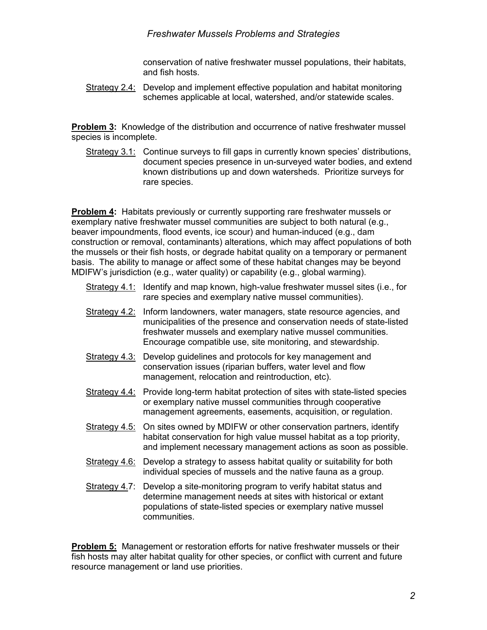## Freshwater Mussels Problems and Strategies

conservation of native freshwater mussel populations, their habitats, and fish hosts.

Strategy 2.4: Develop and implement effective population and habitat monitoring schemes applicable at local, watershed, and/or statewide scales.

**Problem 3:** Knowledge of the distribution and occurrence of native freshwater mussel species is incomplete.

Strategy 3.1: Continue surveys to fill gaps in currently known species' distributions, document species presence in un-surveyed water bodies, and extend known distributions up and down watersheds. Prioritize surveys for rare species.

**Problem 4:** Habitats previously or currently supporting rare freshwater mussels or exemplary native freshwater mussel communities are subject to both natural (e.g., beaver impoundments, flood events, ice scour) and human-induced (e.g., dam construction or removal, contaminants) alterations, which may affect populations of both the mussels or their fish hosts, or degrade habitat quality on a temporary or permanent basis. The ability to manage or affect some of these habitat changes may be beyond MDIFW's jurisdiction (e.g., water quality) or capability (e.g., global warming).

- Strategy 4.1: Identify and map known, high-value freshwater mussel sites (i.e., for rare species and exemplary native mussel communities).
- Strategy 4.2: Inform landowners, water managers, state resource agencies, and municipalities of the presence and conservation needs of state-listed freshwater mussels and exemplary native mussel communities. Encourage compatible use, site monitoring, and stewardship.
- Strategy 4.3: Develop guidelines and protocols for key management and conservation issues (riparian buffers, water level and flow management, relocation and reintroduction, etc).
- Strategy 4.4: Provide long-term habitat protection of sites with state-listed species or exemplary native mussel communities through cooperative management agreements, easements, acquisition, or regulation.
- Strategy 4.5: On sites owned by MDIFW or other conservation partners, identify habitat conservation for high value mussel habitat as a top priority, and implement necessary management actions as soon as possible.
- Strategy 4.6: Develop a strategy to assess habitat quality or suitability for both individual species of mussels and the native fauna as a group.
- Strategy 4.7: Develop a site-monitoring program to verify habitat status and determine management needs at sites with historical or extant populations of state-listed species or exemplary native mussel communities.

**Problem 5:** Management or restoration efforts for native freshwater mussels or their fish hosts may alter habitat quality for other species, or conflict with current and future resource management or land use priorities.